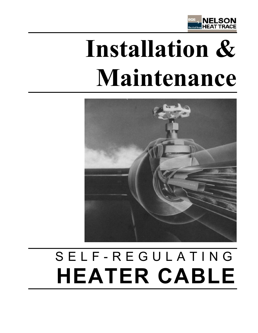

# Installation & **Maintenance**



# SELF-REGULATING **HEATER CABLE**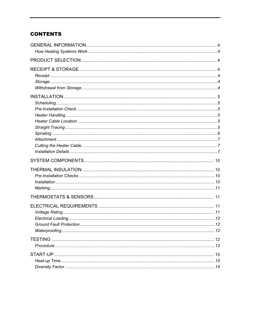# **CONTENTS**

| . 12 |  |
|------|--|
|      |  |
|      |  |
|      |  |
|      |  |
|      |  |
|      |  |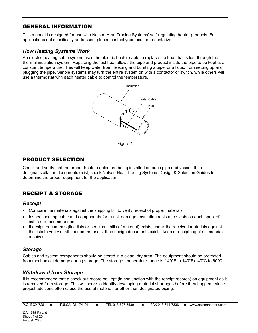# GENERAL INFORMATION

This manual is designed for use with Nelson Heat Tracing Systems' self-regulating heater products. For applications not specifically addressed, please contact your local representative.

# *How Heating Systems Work*

An electric heating cable system uses the electric heater cable to replace the heat that is lost through the thermal insulation system. Replacing the lost heat allows the pipe and product inside the pipe to be kept at a constant temperature. This will keep water from freezing and bursting a pipe, or a liquid from setting up and plugging the pipe. Simple systems may turn the entire system on with a contactor or switch, while others will use a thermostat with each heater cable to control the temperature.



Figure 1

# PRODUCT SELECTION

Check and verify that the proper heater cables are being installed on each pipe and vessel. If no design/installation documents exist, check Nelson Heat Tracing Systems Design & Selection Guides to determine the proper equipment for the application.

# RECEIPT & STORAGE

# *Receipt*

- Compare the materials against the shipping bill to verify receipt of proper materials.
- Inspect heating cable and components for transit damage. Insulation resistance tests on each spool of cable are recommended.
- If design documents (line lists or per circuit bills of material) exists, check the received materials against the lists to verify of all needed materials. If no design documents exists, keep a receipt log of all materials received.

# *Storage*

Cables and system components should be stored in a clean, dry area. The equipment should be protected from mechanical damage during storage. The storage temperature range is (-40°F to 140°F) -40°C to 60°C.

# *Withdrawal from Storage*

It is recommended that a check out record be kept (in conjunction with the receipt records) on equipment as it is removed from storage. This will serve to identify developing material shortages before they happen - since project additions often cause the use of material for other than designated piping.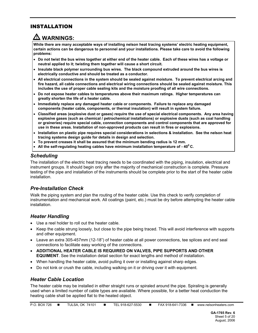# INSTALLATION

# **! WARNINGS:**

**While there are many acceptable ways of installing nelson heat tracing systems' electric heating equipment, certain actions can be dangerous to personnel and your installations. Please take care to avoid the following problems:** 

- **Do not twist the bus wires together at either end of the heater cable. Each of these wires has a voltage or neutral applied to it; twisting them together will cause a short circuit.**
- **Insulate black polymer surrounding bus wires. The black compound extruded around the bus wires is electrically conductive and should be treated as a conductor.**
- **All electrical connections in the system should be sealed against moisture. To prevent electrical arcing and fire hazard, all cable connections and electrical wiring connections should be sealed against moisture. This includes the use of proper cable sealing kits and the moisture proofing of all wire connections.**
- **Do not expose heater cables to temperatures above their maximum ratings. Higher temperatures can greatly shorten the life of a heater cable.**
- **Immediately replace any damaged heater cable or components. Failure to replace any damaged components (heater cable, components, or thermal insulation) will result in system failure.**
- **Classified areas (explosive dust or gases) require the use of special electrical components. Any area having explosive gases (such as chemical / petrochemical installations) or explosive dusts (such as coal handling or graineries) require special cable, connection components and control components that are approved for use in these areas. Installation of non-approved products can result in fires or explosions.**
- **Installation on plastic pipe requires special considerations in selections & installation. See the nelson heat tracing systems design guide for details in design and selection.**
- **To prevent creases it shall be assured that the minimum bending radius is 12 mm.**
- **All the self-regulating heating cables have minimum installation temperature of 400 C.**

# *Scheduling*

The installation of the electric heat tracing needs to be coordinated with the piping, insulation, electrical and instrument groups. It should begin only after the majority of mechanical construction is complete. Pressure testing of the pipe and installation of the instruments should be complete prior to the start of the heater cable installation.

# *Pre-Installation Check*

Walk the piping system and plan the routing of the heater cable. Use this check to verify completion of instrumentation and mechanical work. All coatings (paint, etc.) must be dry before attempting the heater cable installation.

# *Heater Handling*

- Use a reel holder to roll out the heater cable.
- Keep the cable strung loosely, but close to the pipe being traced. This will avoid interference with supports and other equipment.
- Leave an extra 305-457mm (12-18") of heater cable at all power connections, tee splices and end seal connections to facilitate easy working of the connections.
- **ADDITIONAL HEATER CABLE IS REQUIRED ON VALVES, PIPE SUPPORTS AND OTHER EQUIMENT**. See the installation detail section for exact lengths and method of installation.
- When handling the heater cable, avoid pulling it over or installing against sharp edges.
- Do not kink or crush the cable, including walking on it or driving over it with equipment.

# *Heater Cable Location*

The heater cable may be installed in either straight runs or spiraled around the pipe. Spiraling is generally used when a limited number of cable types are available. Where possible, for a better heat conduction the heating cable shall be applied flat to the heated object.

| P.O. BOX 726 |  | <b>TULSA, OK 74101</b> |  | TEL 918-627-5530 |  | FAX 918-641-7336 |  | www.nelsonheaters.com |
|--------------|--|------------------------|--|------------------|--|------------------|--|-----------------------|
|--------------|--|------------------------|--|------------------|--|------------------|--|-----------------------|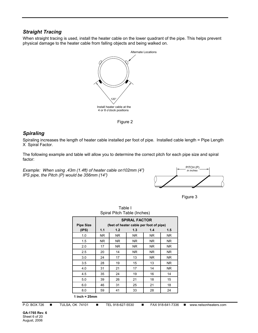# *Straight Tracing*

When straight tracing is used, install the heater cable on the lower quadrant of the pipe. This helps prevent physical damage to the heater cable from falling objects and being walked on.



Figure 2

# *Spiraling*

Spiraling increases the length of heater cable installed per foot of pipe. Installed cable length = Pipe Length X Spiral Factor.

The following example and table will allow you to determine the correct pitch for each pipe size and spiral factor:

*Example: When using .43m (1.4ft) of heater cable on102mm (4") IPS pipe, the Pitch (P) would be 356mm (14")* 





| Opilal Filuli Table (IIIUIES) |     |                      |     |                                         |           |  |  |  |
|-------------------------------|-----|----------------------|-----|-----------------------------------------|-----------|--|--|--|
|                               |     | <b>SPIRAL FACTOR</b> |     |                                         |           |  |  |  |
| <b>Pipe Size</b>              |     |                      |     | (feet of heater cable per foot of pipe) |           |  |  |  |
| (IPS)                         | 1.1 | 1.2                  | 1.3 | 1.4                                     | 1.5       |  |  |  |
| 1.0                           | NR. | NR.                  | NR. | NR.                                     | NR.       |  |  |  |
| 1.5                           | NR. | NR.                  | NR. | NR.                                     | NR.       |  |  |  |
| 2.0                           | 17  | NR.                  | NR. | NR.                                     | NR.       |  |  |  |
| 2.5                           | 20  | 14                   | NR. | NR.                                     | NR.       |  |  |  |
| 3.0                           | 24  | 17                   | 13  | NR.                                     | NR.       |  |  |  |
| 3.5                           | 28  | 19                   | 15  | 13                                      | <b>NR</b> |  |  |  |
| 4.0                           | 31  | 21                   | 17  | 14                                      | NR.       |  |  |  |
| 4.5                           | 35  | 24                   | 19  | 16                                      | 14        |  |  |  |
| 5.0                           | 39  | 26                   | 21  | 18                                      | 15        |  |  |  |
| 6.0                           | 46  | 31                   | 25  | 21                                      | 18        |  |  |  |
| 8.0                           | 59  | 41                   | 33  | 28                                      | 24        |  |  |  |
| 1 inch = $25mm$               |     |                      |     |                                         |           |  |  |  |

Table I Spiral Pitch Table (Inches)

P.O. BOX 726 ■ TULSA, OK 74101 ■ TEL 918-627-5530 ■ FAX 918-641-7336 ■ www.nelsonheaters.com

**GA-1765 Rev. 6** Sheet 6 of 20 August, 2006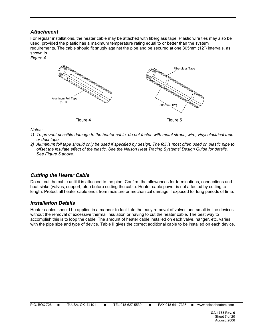# *Attachment*

For regular installations, the heater cable may be attached with fiberglass tape. Plastic wire ties may also be used, provided the plastic has a maximum temperature rating equal to or better than the system requirements. The cable should fit snugly against the pipe and be secured at one 305mm (12") intervals, as shown in

*Figure 4.*



*Notes:* 

- *1) To prevent possible damage to the heater cable, do not fasten with metal straps, wire, vinyl electrical tape or duct tape.*
- *2) Aluminum foil tape should only be used if specified by design. The foil is most often used on plastic pipe to offset the insulate effect of the plastic. See the Nelson Heat Tracing Systems' Design Guide for details. See Figure 5 above.*

# *Cutting the Heater Cable*

Do not cut the cable until it is attached to the pipe. Confirm the allowances for terminations, connections and heat sinks (valves, support, etc.) before cutting the cable. Heater cable power is not affected by cutting to length. Protect all heater cable ends from moisture or mechanical damage if exposed for long periods of time.

# *Installation Details*

Heater cables should be applied in a manner to facilitate the easy removal of valves and small in-line devices without the removal of excessive thermal insulation or having to cut the heater cable. The best way to accomplish this is to loop the cable. The amount of heater cable installed on each valve, hanger, etc. varies with the pipe size and type of device. Table II gives the correct additional cable to be installed on each device.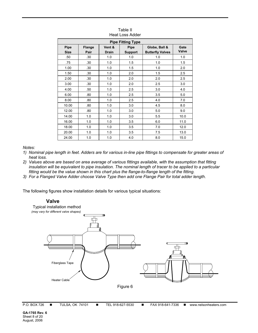| TIGAL LUSS AUUGI                                                                                                                                                     |     |     |     |     |      |  |  |  |
|----------------------------------------------------------------------------------------------------------------------------------------------------------------------|-----|-----|-----|-----|------|--|--|--|
| <b>Pipe Fitting Type</b>                                                                                                                                             |     |     |     |     |      |  |  |  |
| Vent &<br>Pipe<br><b>Pipe</b><br>Globe, Ball &<br>Gate<br><b>Flange</b><br>Valve<br><b>Size</b><br><b>Butterfly Valves</b><br>Pair<br><b>Drain</b><br><b>Support</b> |     |     |     |     |      |  |  |  |
| .50                                                                                                                                                                  | .30 | 1.0 | 1.0 | 1.0 | 1.0  |  |  |  |
| .75                                                                                                                                                                  | .30 | 1.0 | 1.5 | 1.0 | 1.5  |  |  |  |
| 1.00                                                                                                                                                                 | .30 | 1.0 | 1.5 | 1.0 | 2.0  |  |  |  |
| 1.50                                                                                                                                                                 | .30 | 1.0 | 2.0 | 1.5 | 2.5  |  |  |  |
| 2.00                                                                                                                                                                 | .30 | 1.0 | 2.0 | 2.0 | 2.5  |  |  |  |
| 3.00                                                                                                                                                                 | .30 | 1.0 | 2.0 | 2.5 | 3.0  |  |  |  |
| 4.00                                                                                                                                                                 | .50 | 1.0 | 2.5 | 3.0 | 4.0  |  |  |  |
| 6.00                                                                                                                                                                 | .80 | 1.0 | 2.5 | 3.5 | 5.0  |  |  |  |
| 8.00                                                                                                                                                                 | .80 | 1.0 | 2.5 | 4.0 | 7.0  |  |  |  |
| 10.00                                                                                                                                                                | .80 | 1.0 | 3.0 | 4.5 | 8.0  |  |  |  |
| 12.00                                                                                                                                                                | .80 | 1.0 | 3.0 | 5.0 | 9.0  |  |  |  |
| 14.00                                                                                                                                                                | 1.0 | 1.0 | 3.0 | 5.5 | 10.0 |  |  |  |
| 16.00                                                                                                                                                                | 1.0 | 1.0 | 3.5 | 6.0 | 11.0 |  |  |  |
| 18.00                                                                                                                                                                | 1.0 | 1.0 | 3.5 | 7.0 | 12.0 |  |  |  |
| 20.00                                                                                                                                                                | 1.0 | 1.0 | 3.5 | 7.5 | 13.0 |  |  |  |
| 24.00                                                                                                                                                                | 1.0 | 1.0 | 4.0 | 8.0 | 15.0 |  |  |  |

Table II Heat Loss Adder

*Notes:* 

- *1) Nominal pipe length in feet. Adders are for various in-line pipe fittings to compensate for greater areas of heat loss.*
- *2) Values above are based on area average of various fittings available, with the assumption that fitting insulation will be equivalent to pipe insulation. The nominal length of tracer to be applied to a particular fitting would be the value shown in this chart plus the flange-to-flange length of the fitting.*
- *3) For a Flanged Valve Adder choose Valve Type then add one Flange Pair for total adder length.*

The following figures show installation details for various typical situations:

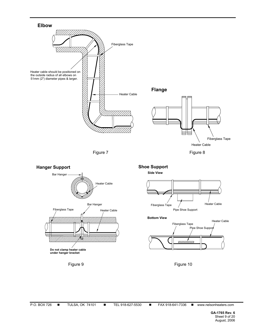





**Bottom View**



Figure 9 **Figure 10**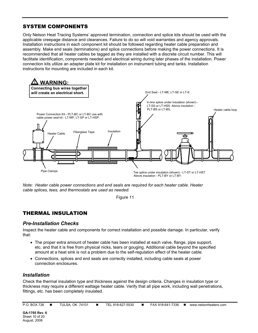# SYSTEM COMPONENTS

Only Nelson Heat Tracing Systems' approved termination, connection and splice kits should be used with the applicable creepage distance and clearances. Failure to do so will void warranties and agency approvals. Installation instructions in each component kit should be followed regarding heater cable preparation and assembly. Make end seals (terminations) and splice connections before making the power connections. It is recommended that all heater cables be tagged as they are installed with a discrete circuit number. This will facilitate identification, components needed and electrical wiring during later phases of the installation. Power connection kits utilize an adapter plate kit for installation on instrument tubing and tanks. Installation instructions for mounting are included in each kit.



*Note: Heater cable power connections and end seals are required for each heater cable. Heater cable splices, tees, and thermostats are used as needed.* 

Figure 11

# THERMAL INSULATION

# *Pre-Installation Checks*

Inspect the heater cable and components for correct installation and possible damage. In particular, verify that:

- The proper extra amount of heater cable has been installed at each valve, flange, pipe support, etc. and that it is free from physical nicks, tears or gouging. Additional cable beyond the specified amount at a heat sink is not a problem due to the self-regulation effect of the heater cable.
- Connections, splices and end seals are correctly installed, including cable seals at power connection enclosures.

# *Installation*

Check the thermal insulation type and thickness against the design criteria. Changes in insulation type or thickness may require a different wattage heater cable. Verify that all pipe work, including wall penetrations, fittings, etc. has been completely insulated.

| P.O. BOX 726 | <b>TULSA, OI</b> |
|--------------|------------------|
|              |                  |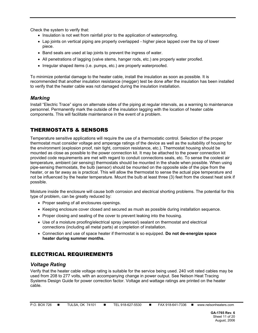Check the system to verify that:

- Insulation is not wet from rainfall prior to the application of waterproofing.
- Lap joints on vertical piping are properly overlapped higher piece lapped over the top of lower piece.
- Band seals are used at lap joints to prevent the ingress of water.
- All penetrations of lagging (valve stems, hanger rods, etc.) are properly water proofed.
- Irregular shaped items (i.e. pumps, etc.) are properly waterproofed.

To minimize potential damage to the heater cable, install the insulation as soon as possible. It is recommended that another insulation resistance (megger) test be done after the insulation has been installed to verify that the heater cable was not damaged during the insulation installation.

# *Marking*

Install "Electric Trace" signs on alternate sides of the piping at regular intervals, as a warning to maintenance personnel. Permanently mark the outside of the insulation lagging with the location of heater cable components. This will facilitate maintenance in the event of a problem.

# THERMOSTATS & SENSORS

Temperature sensitive applications will require the use of a thermostatic control. Selection of the proper thermostat must consider voltage and amperage ratings of the device as well as the suitability of housing for the environment (explosion proof, rain tight, corrosion resistance, etc.). Thermostat housing should be mounted as close as possible to the power connection kit. It may be attached to the power connection kit provided code requirements are met with regard to conduit connections seals, etc. To sense the coolest air temperature, ambient (air sensing) thermostats should be mounted in the shade when possible. When using pipe-sensing thermostats, the bulb (sensor) should be mounted on the opposite side of the pipe from the heater, or as far away as is practical. This will allow the thermostat to sense the actual pipe temperature and not be influenced by the heater temperature. Mount the bulb at least three (3) feet from the closest heat sink if possible.

Moisture inside the enclosure will cause both corrosion and electrical shorting problems. The potential for this type of problem, can be greatly reduced by:

- Proper sealing of all enclosures openings.
- Keeping enclosure cover closed and secured as mush as possible during installation sequence.
- Proper closing and sealing of the cover to prevent leaking into the housing.
- Use of a moisture proofing/electrical spray (aerosol) sealant on thermostat and electrical connections (including all metal parts) at completion of installation.
- Connection and use of space heater if thermostat is so equipped. **Do not de-energize space heater during summer months.**

# ELECTRICAL REQUIREMENTS

# *Voltage Rating*

Verify that the heater cable voltage rating is suitable for the service being used. 240 volt rated cables may be used from 208 to 277 volts, with an accompanying change in power output. See Nelson Heat Tracing Systems Design Guide for power correction factor. Voltage and wattage ratings are printed on the heater cable.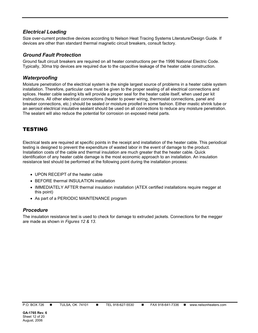# *Electrical Loading*

Size over-current protective devices according to Nelson Heat Tracing Systems Literature/Design Guide. If devices are other than standard thermal magnetic circuit breakers, consult factory.

# *Ground Fault Protection*

Ground fault circuit breakers are required on all heater constructions per the 1996 National Electric Code. Typically, 30ma trip devices are required due to the capacitive leakage of the heater cable construction.

# *Waterproofing*

Moisture penetration of the electrical system is the single largest source of problems in a heater cable system installation. Therefore, particular care must be given to the proper sealing of all electrical connections and splices. Heater cable sealing kits will provide a proper seal for the heater cable itself, when used per kit instructions. All other electrical connections (heater to power wiring, thermostat connections, panel and breaker connections, etc.) should be sealed or moisture proofed in some fashion. Either mastic shrink tube or an aerosol electrical insulative sealant should be used on all connections to reduce any moisture penetration. The sealant will also reduce the potential for corrosion on exposed metal parts.

# TESTING

Electrical tests are required at specific points in the receipt and installation of the heater cable. This periodical testing is designed to prevent the expenditure of wasted labor in the event of damage to the product. Installation costs of the cable and thermal insulation are much greater that the heater cable. Quick identification of any heater cable damage is the most economic approach to an installation. An insulation resistance test should be performed at the following point during the installation process:

- UPON RECEIPT of the heater cable
- BEFORE thermal INSULATION installation
- IMMEDIATELY AFTER thermal insulation installation (ATEX certified installations require megger at this point)
- As part of a PERIODIC MAINTENANCE program

# *Procedure*

The insulation resistance test is used to check for damage to extruded jackets. Connections for the megger are made as shown in *Figures 12 & 13*.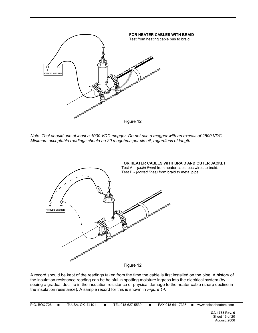

*Note: Test should use at least a 1000 VDC megger. Do not use a megger with an excess of 2500 VDC. Minimum acceptable readings should be 20 megohms per circuit, regardless of length.* 



A record should be kept of the readings taken from the time the cable is first installed on the pipe. A history of the insulation resistance reading can be helpful in spotting moisture ingress into the electrical system (by seeing a gradual decline in the insulation resistance or physical damage to the heater cable (sharp decline in the insulation resistance). A sample record for this is shown in *Figure 14.*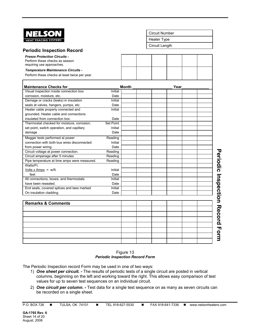| KOL                                           |           |              |                    | <b>Circuit Number</b> |                                        |
|-----------------------------------------------|-----------|--------------|--------------------|-----------------------|----------------------------------------|
| <b>TRACING SYSTEMS</b>                        |           |              | <b>Heater Type</b> |                       |                                        |
|                                               |           |              | Circuit Length     |                       |                                        |
| <b>Periodic Inspection Record</b>             |           |              |                    |                       |                                        |
| <b>Freeze Protection Circuits -</b>           |           |              |                    |                       |                                        |
| Perform these checks as season                |           |              |                    |                       |                                        |
| requiring use approaches.                     |           |              |                    |                       |                                        |
| <b>Temperature Maintenance Circuits -</b>     |           |              |                    |                       |                                        |
| Perform these checks at least twice per year. |           |              |                    |                       |                                        |
| <b>Maintenance Checks for</b>                 |           | <b>Month</b> |                    | Year                  |                                        |
| Visual inspection inside connection box       | Initial   |              |                    |                       |                                        |
| corrosion, moisture, etc.                     | Date      |              |                    |                       |                                        |
| Damage or cracks (leaks) in insulation        | Initial   |              |                    |                       |                                        |
| seals at valves, hangers, pumps, etc.         | Date      |              |                    |                       |                                        |
| Heater cable properly connected and           | Initial   |              |                    |                       |                                        |
| grounded. Heater cable and connections        |           |              |                    |                       |                                        |
| insulated from connection box.                | Date      |              |                    |                       |                                        |
| Thermostat checked for moisture, corrosion,   | Set Point |              |                    |                       |                                        |
| set point, switch operation, and capillary    | Initial   |              |                    |                       |                                        |
| damage                                        | Date      |              |                    |                       |                                        |
| Megger tests performed at power               | Reading   |              |                    |                       |                                        |
| connection with both bus wires disconnected   | Initial   |              |                    |                       |                                        |
| from power wiring.                            | Date      |              |                    |                       |                                        |
| Circuit voltage at power connection.          | Reading   |              |                    |                       |                                        |
| Circuit amperage after 5 minutes              | Reading   |              |                    |                       |                                        |
| Pipe temperature at time amps were measured.  | Reading   |              |                    |                       |                                        |
| Watts/Ft.                                     |           |              |                    |                       |                                        |
| Volts x Amps = $w/ft$ .                       | Initial   |              |                    |                       |                                        |
| feet                                          | Date      |              |                    |                       |                                        |
| All connections, boxes, and thermostats       | Initial   |              |                    |                       |                                        |
| have been resealed.                           | Date      |              |                    |                       |                                        |
| End seals, covered splices and tees marked    | Initial   |              |                    |                       |                                        |
| On insulation cladding.                       | Date      |              |                    |                       |                                        |
| <b>Remarks &amp; Comments</b>                 |           |              |                    |                       | <b>Periodic Inspection Record Form</b> |
|                                               |           |              |                    |                       |                                        |
|                                               |           |              |                    |                       |                                        |
|                                               |           |              |                    |                       |                                        |
|                                               |           |              |                    |                       |                                        |
|                                               |           |              |                    |                       |                                        |
|                                               |           |              |                    |                       |                                        |
|                                               |           |              |                    |                       |                                        |
|                                               |           |              |                    |                       |                                        |
|                                               |           |              |                    |                       |                                        |

#### Figure 13 *Periodic Inspection Record Form*

The Periodic Inspection record Form may be used in one of two ways:

- 1) *One sheet per circuit. -* The results of periodic tests of a single circuit are posted in vertical columns, beginning on the left and working toward the right. This allows easy comparison of test values for up to seven test sequences on an individual circuit.
- 2) *One circuit per column. -* Test data for a single test sequence on as many as seven circuits can be recorded on a single sheet.

P.O. BOX 726 ■ TULSA, OK 74101 ■ TEL 918-627-5530 ■ FAX 918-641-7336 ■ www.nelsonheaters.com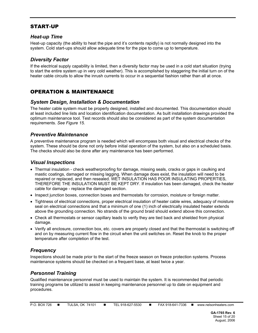# START-UP

# *Heat-up Time*

Heat-up capacity (the ability to heat the pipe and it's contents rapidly) is not normally designed into the system. Cold start-ups should allow adequate time for the pipe to come up to temperature.

# *Diversity Factor*

If the electrical supply capability is limited, then a diversity factor may be used in a cold start situation (trying to start the entire system up in very cold weather). This is accomplished by staggering the initial turn on of the heater cable circuits to allow the inrush currents to occur in a sequential fashion rather than all at once.

# OPERATION & MAINTENANCE

#### *System Design, Installation & Documentation*

The heater cable system must be properly designed, installed and documented. This documentation should at least included line lists and location identification documentation. As built installation drawings provided the optimum maintenance tool. Test records should also be considered as part of the system documentation requirements. *See Figure 15.* 

#### *Preventive Maintenance*

A preventive maintenance program is needed which will encompass both visual and electrical checks of the system. These should be done not only before initial operation of the system, but also on a scheduled basis. The checks should also be done after any maintenance has been performed.

#### *Visual Inspections*

- Thermal insulation check weatherproofing for damage, missing seals, cracks or gaps in caulking and mastic coatings, damaged or missing lagging. When damage does exist, the insulation will need to be repaired or replaced, and then resealed. WET INSULATION HAS POOR INSULATING PROPERTIES, THEREFORE THE INSULATION MUST BE KEPT DRY. If insulation has been damaged, check the heater cable for damage - replace the damaged section.
- Inspect junction boxes, connection boxes and thermostats for corrosion, moisture or foreign matter.
- Tightness of electrical connections, proper electrical insulation of heater cable wires, adequacy of moisture seal on electrical connections and that a minimum of one (1) inch of electrically insulated heater extends above the grounding connection. No strands of the ground braid should extend above this connection.
- Check all thermostats or sensor capillary leads to verify they are tied back and shielded from physical damage.
- Verify all enclosure, connection box, etc. covers are properly closed and that the thermostat is switching off and on by measuring current flow in the circuit when the unit switches on. Reset the knob to the proper temperature after completion of the test.

# *Frequency*

Inspections should be made prior to the start of the freeze season on freeze protection systems. Process maintenance systems should be checked on a frequent base, at least twice a year.

# *Personnel Training*

Qualified maintenance personnel must be used to maintain the system. It is recommended that periodic training programs be utilized to assist in keeping maintenance personnel up to date on equipment and procedures.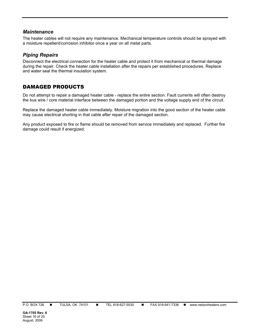#### *Maintenance*

The heater cables will not require any maintenance. Mechanical temperature controls should be sprayed with a moisture repellent/corrosion inhibitor once a year on all metal parts.

#### *Piping Repairs*

Disconnect the electrical connection for the heater cable and protect it from mechanical or thermal damage during the repair. Check the heater cable installation after the repairs per established procedures. Replace and water seal the thermal insulation system.

# DAMAGED PRODUCTS

Do not attempt to repair a damaged heater cable - replace the entire section. Fault currents will often destroy the bus wire / core material interface between the damaged portion and the voltage supply end of the circuit.

Replace the damaged heater cable immediately. Moisture migration into the good section of the heater cable may cause electrical shorting in that cable after repair of the damaged section.

Any product exposed to fire or flame should be removed from service immediately and replaced. Further fire damage could result if energized.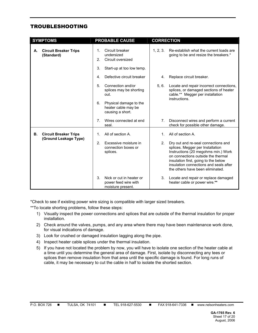# TROUBLESHOOTING

|    | <b>SYMPTOMS</b>                                       | <b>PROBABLE CAUSE</b>                                                |                           | <b>CORRECTION</b>              |                                                                                                                                                                                                                                                                            |
|----|-------------------------------------------------------|----------------------------------------------------------------------|---------------------------|--------------------------------|----------------------------------------------------------------------------------------------------------------------------------------------------------------------------------------------------------------------------------------------------------------------------|
| А. | <b>Circuit Breaker Trips</b><br>(Standard)            | Circuit breaker<br>1.<br>undersized<br>2.<br>Circuit oversized<br>3. | Start-up at too low temp. | 1, 2, 3.                       | Re-establish what the current loads are<br>going to be and resize the breakers.*                                                                                                                                                                                           |
|    |                                                       | 4.                                                                   | Defective circuit breaker | 4.                             | Replace circuit breaker.                                                                                                                                                                                                                                                   |
|    |                                                       | 5.<br>Connection and/or<br>out.                                      | splices may be shorting   | 5, 6.                          | Locate and repair incorrect connections,<br>splices, or damaged sections of heater<br>cable.** Megger per installation<br>instructions.                                                                                                                                    |
|    |                                                       | 6.<br>heater cable may be<br>causing a short.                        | Physical damage to the    |                                |                                                                                                                                                                                                                                                                            |
|    |                                                       | 7 <sub>1</sub><br>seal.                                              | Wires connected at end    | $7_{\scriptscriptstyle{\sim}}$ | Disconnect wires and perform a current<br>check for possible other damage.                                                                                                                                                                                                 |
| В. | <b>Circuit Breaker Trips</b><br>(Ground Leakage Type) | All of section A.<br>1.                                              |                           | 1.                             | All of section A.                                                                                                                                                                                                                                                          |
|    |                                                       | 2.<br>Excessive moisture in<br>connection boxes or<br>splices.       |                           | 2 <sub>1</sub>                 | Dry out and re-seal connections and<br>splices. Megger per Installation<br>Instructions (20 megohms min.) Work<br>on connections outside the thermal<br>insulation first, going to the below<br>insulation connections and seals after<br>the others have been eliminated. |
|    |                                                       | 3.<br>power feed wire with<br>moisture present.                      | Nick or cut in heater or  | 3.                             | Locate and repair or replace damaged<br>heater cable or power wire.**                                                                                                                                                                                                      |

\*Check to see if existing power wire sizing is compatible with larger sized breakers.

\*\*To locate shorting problems, follow these steps:

- 1) Visually inspect the power connections and splices that are outside of the thermal insulation for proper installation.
- 2) Check around the valves, pumps, and any area where there may have been maintenance work done, for visual indications of damage.
- 3) Look for crushed or damaged insulation lagging along the pipe.
- 4) Inspect heater cable splices under the thermal insulation.
- 5) If you have not located the problem by now, you will have to isolate one section of the heater cable at a time until you determine the general area of damage. First, isolate by disconnecting any tees or splices then remove insulation from that area until the specific damage is found. For long runs of cable, it may be necessary to cut the cable in half to isolate the shorted section.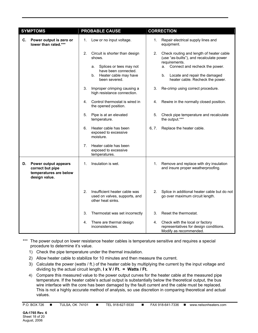|    | <b>SYMPTOMS</b>                                                                            |    | <b>PROBABLE CAUSE</b>                                                                                                         |             | <b>CORRECTION</b>                                                                                                                                                                 |
|----|--------------------------------------------------------------------------------------------|----|-------------------------------------------------------------------------------------------------------------------------------|-------------|-----------------------------------------------------------------------------------------------------------------------------------------------------------------------------------|
|    | C. Power output is zero or<br>lower than rated.***                                         | 1. | Low or no input voltage.                                                                                                      | $1_{\cdot}$ | Repair electrical supply lines and<br>equipment.                                                                                                                                  |
|    |                                                                                            | 2. | Circuit is shorter than design<br>shows.<br>Splices or tees may not<br>a.<br>have been connected.<br>b. Heater cable may have | 2.          | Check routing and length of heater cable<br>(use "as-builts"), and recalculate power<br>requirements.<br>Connect and recheck the power.<br>а.<br>b. Locate and repair the damaged |
|    |                                                                                            |    | been severed.                                                                                                                 |             | heater cable. Recheck the power.                                                                                                                                                  |
|    |                                                                                            | 3. | Improper crimping causing a<br>high resistance connection.                                                                    | 3.          | Re-crimp using correct procedure.                                                                                                                                                 |
|    |                                                                                            | 4. | Control thermostat is wired in<br>the opened position.                                                                        | 4.          | Rewire in the normally closed position.                                                                                                                                           |
|    |                                                                                            | 5. | Pipe is at an elevated<br>temperature.                                                                                        | 5.          | Check pipe temperature and recalculate<br>the output.***                                                                                                                          |
|    |                                                                                            | 6. | Heater cable has been<br>exposed to excessive<br>moisture.                                                                    | 6, 7.       | Replace the heater cable.                                                                                                                                                         |
|    |                                                                                            | 7. | Heater cable has been<br>exposed to excessive<br>temperatures.                                                                |             |                                                                                                                                                                                   |
| D. | <b>Power output appears</b><br>correct but pipe<br>temperatures are below<br>design value. | 1. | Insulation is wet.                                                                                                            | 1.          | Remove and replace with dry insulation<br>and insure proper weatherproofing.                                                                                                      |
|    |                                                                                            | 2. | Insufficient heater cable was<br>used on valves, supports, and<br>other heat sinks.                                           | 2.          | Splice in additional heater cable but do not<br>go over maximum circuit length.                                                                                                   |
|    |                                                                                            | 3. | Thermostat was set incorrectly                                                                                                | 3.          | Reset the thermostat.                                                                                                                                                             |
|    |                                                                                            | 4. | There are thermal design<br>inconsistencies.                                                                                  | 4.          | Check with the local or factory<br>representatives for design conditions.<br>Modify as recommended.                                                                               |

\*\*\* The power output on lower resistance heater cables is temperature sensitive and requires a special procedure to determine it's value.

- 1) Check the pipe temperature under the thermal insulation.
- 2) Allow heater cable to stabilize for 10 minutes and then measure the current.
- 3) Calculate the power (watts / ft.) of the heater cable by multiplying the current by the input voltage and dividing by the actual circuit length, **I x V / Ft. = Watts / Ft.**
- 4) Compare this measured value to the power output curves for the heater cable at the measured pipe temperature. If the heater cable's actual output is substantially below the theoretical output, the bus wire interface with the core has been damaged by the fault current and the cable must be replaced. This is not a highly accurate method of analysis, so use discretion in comparing theoretical and actual values.

P.O. BOX 726 ■ TULSA, OK 74101 ■ TEL 918-627-5530 ■ FAX 918-641-7336 ■ www.nelsonheaters.com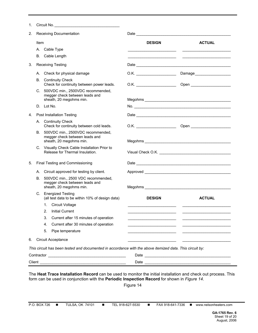| 1.         |      | Circuit No.                                                                                              |               |                            |
|------------|------|----------------------------------------------------------------------------------------------------------|---------------|----------------------------|
| 2.         |      | Receiving Documentation                                                                                  |               |                            |
|            | Item |                                                                                                          | <b>DESIGN</b> | <b>ACTUAL</b>              |
|            |      | A. Cable Type                                                                                            |               |                            |
|            |      | B. Cable Length                                                                                          |               |                            |
| 3.         |      | <b>Receiving Testing</b>                                                                                 |               |                            |
|            |      | A. Check for physical damage                                                                             |               | Damage____________________ |
| В.         |      | <b>Continuity Check</b><br>Check for continuity between power leads.                                     |               |                            |
|            |      | C. 500VDC min., 2500VDC recommended,<br>megger check between leads and                                   |               |                            |
|            |      | sheath, 20 megohms min.                                                                                  |               |                            |
|            |      | D. Lot No.                                                                                               |               |                            |
| 4.         |      | Post Installation Testing                                                                                |               |                            |
|            |      | A. Continuity Check<br>Check for continuity between cold leads.                                          |               |                            |
|            | В.   | 500VDC min., 2500VDC recommended,<br>megger check between leads and<br>sheath, 20 megohms min.           |               |                            |
|            |      | C. Visually Check Cable Installation Prior to<br>Release for Thermal Insulation.                         |               |                            |
| 5.         |      | Final Testing and Commissioning                                                                          |               |                            |
|            |      | A. Circuit approved for testing by client.                                                               |               |                            |
| В.         |      | 500VDC min., 2500 VDC recommended,<br>megger check between leads and<br>sheath, 20 megohms min.          |               |                            |
|            |      | C. Energized Testing<br>(all test data to be within 10% of design data)                                  | <b>DESIGN</b> | <b>ACTUAL</b>              |
|            |      | 1. Circuit Voltage                                                                                       |               |                            |
|            |      | 2. Initial Current                                                                                       |               |                            |
|            | 3.   | Current after 15 minutes of operation                                                                    |               |                            |
|            | 4.   | Current after 30 minutes of operation                                                                    |               |                            |
|            | 5.   | Pipe temperature                                                                                         |               |                            |
| 6.         |      | Circuit Acceptance                                                                                       |               |                            |
|            |      | This circuit has been tested and documented in accordance with the above itemized data. This circuit by: |               |                            |
| Contractor |      |                                                                                                          | Date          |                            |

The **Heat Trace Installation Record** can be used to monitor the initial installation and check out process. This form can be used in conjunction with the **Periodic Inspection Record** for shown in *Figure 14*.

Client \_\_\_\_\_\_\_\_\_\_\_\_\_\_\_\_\_\_\_\_\_\_\_\_\_\_\_\_\_\_\_\_\_\_\_\_\_\_\_\_\_ Date \_\_\_\_\_\_\_\_\_\_\_\_\_\_\_\_\_\_\_\_\_\_\_\_\_\_\_\_\_\_\_\_\_\_\_\_\_\_\_\_\_

Figure 14